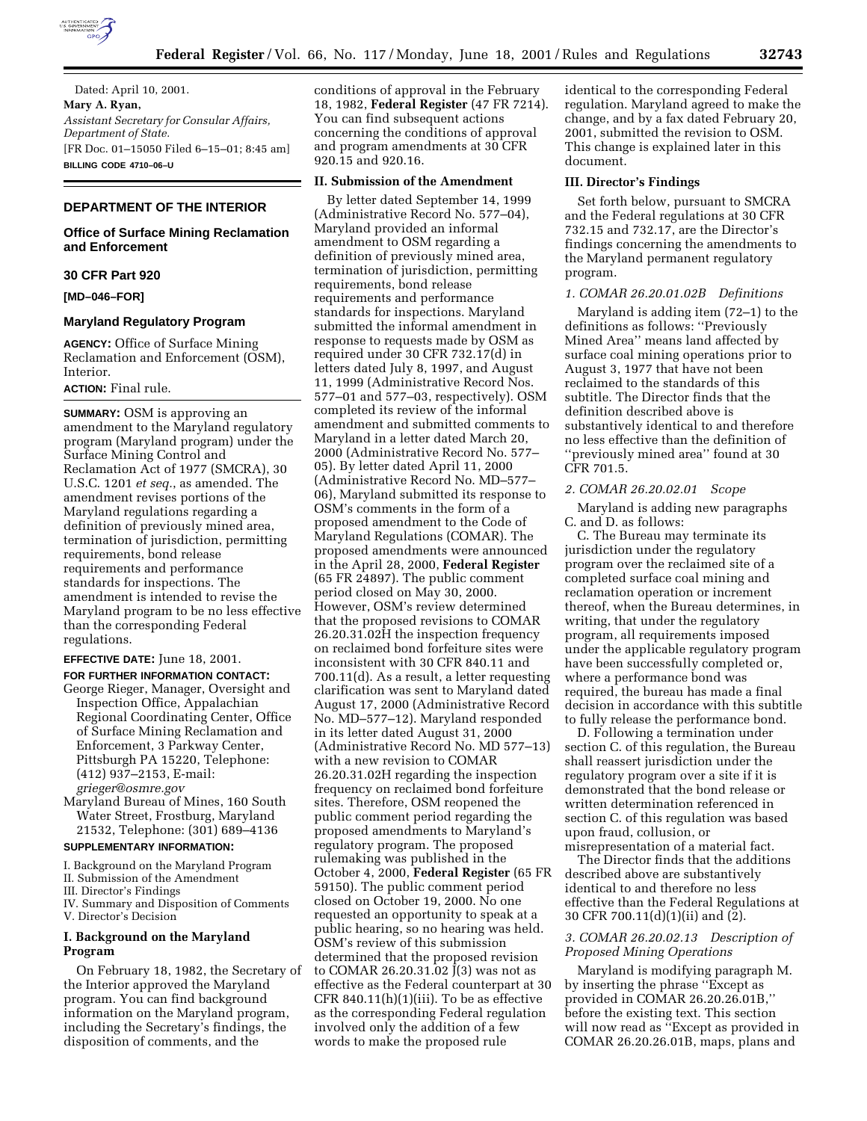

Dated: April 10, 2001. **Mary A. Ryan,** *Assistant Secretary for Consular Affairs, Department of State.* [FR Doc. 01–15050 Filed 6–15–01; 8:45 am] **BILLING CODE 4710–06–U**

# **DEPARTMENT OF THE INTERIOR**

# **Office of Surface Mining Reclamation and Enforcement**

# **30 CFR Part 920**

# **[MD–046–FOR]**

### **Maryland Regulatory Program**

**AGENCY:** Office of Surface Mining Reclamation and Enforcement (OSM), Interior.

## **ACTION:** Final rule.

**SUMMARY:** OSM is approving an amendment to the Maryland regulatory program (Maryland program) under the Surface Mining Control and Reclamation Act of 1977 (SMCRA), 30 U.S.C. 1201 *et seq.*, as amended. The amendment revises portions of the Maryland regulations regarding a definition of previously mined area, termination of jurisdiction, permitting requirements, bond release requirements and performance standards for inspections. The amendment is intended to revise the Maryland program to be no less effective than the corresponding Federal regulations.

# **EFFECTIVE DATE:** June 18, 2001.

**FOR FURTHER INFORMATION CONTACT:** George Rieger, Manager, Oversight and Inspection Office, Appalachian Regional Coordinating Center, Office of Surface Mining Reclamation and Enforcement, 3 Parkway Center, Pittsburgh PA 15220, Telephone: (412) 937–2153, E-mail: *grieger@osmre.gov*

Maryland Bureau of Mines, 160 South Water Street, Frostburg, Maryland 21532, Telephone: (301) 689–4136

# **SUPPLEMENTARY INFORMATION:**

I. Background on the Maryland Program II. Submission of the Amendment

- 
- III. Director's Findings
- IV. Summary and Disposition of Comments V. Director's Decision

## **I. Background on the Maryland Program**

On February 18, 1982, the Secretary of the Interior approved the Maryland program. You can find background information on the Maryland program, including the Secretary's findings, the disposition of comments, and the

conditions of approval in the February 18, 1982, **Federal Register** (47 FR 7214). You can find subsequent actions concerning the conditions of approval and program amendments at 30 CFR 920.15 and 920.16.

#### **II. Submission of the Amendment**

By letter dated September 14, 1999 (Administrative Record No. 577–04), Maryland provided an informal amendment to OSM regarding a definition of previously mined area, termination of jurisdiction, permitting requirements, bond release requirements and performance standards for inspections. Maryland submitted the informal amendment in response to requests made by OSM as required under 30 CFR 732.17(d) in letters dated July 8, 1997, and August 11, 1999 (Administrative Record Nos. 577–01 and 577–03, respectively). OSM completed its review of the informal amendment and submitted comments to Maryland in a letter dated March 20, 2000 (Administrative Record No. 577– 05). By letter dated April 11, 2000 (Administrative Record No. MD–577– 06), Maryland submitted its response to OSM's comments in the form of a proposed amendment to the Code of Maryland Regulations (COMAR). The proposed amendments were announced in the April 28, 2000, **Federal Register** (65 FR 24897). The public comment period closed on May 30, 2000. However, OSM's review determined that the proposed revisions to COMAR 26.20.31.02H the inspection frequency on reclaimed bond forfeiture sites were inconsistent with 30 CFR 840.11 and 700.11(d). As a result, a letter requesting clarification was sent to Maryland dated August 17, 2000 (Administrative Record No. MD–577–12). Maryland responded in its letter dated August 31, 2000 (Administrative Record No. MD 577–13) with a new revision to COMAR 26.20.31.02H regarding the inspection frequency on reclaimed bond forfeiture sites. Therefore, OSM reopened the public comment period regarding the proposed amendments to Maryland's regulatory program. The proposed rulemaking was published in the October 4, 2000, **Federal Register** (65 FR 59150). The public comment period closed on October 19, 2000. No one requested an opportunity to speak at a public hearing, so no hearing was held. OSM's review of this submission determined that the proposed revision to COMAR 26.20.31.02  $\bar{J}$ (3) was not as effective as the Federal counterpart at 30 CFR 840.11(h)(1)(iii). To be as effective as the corresponding Federal regulation involved only the addition of a few words to make the proposed rule

identical to the corresponding Federal regulation. Maryland agreed to make the change, and by a fax dated February 20, 2001, submitted the revision to OSM. This change is explained later in this document.

## **III. Director's Findings**

Set forth below, pursuant to SMCRA and the Federal regulations at 30 CFR 732.15 and 732.17, are the Director's findings concerning the amendments to the Maryland permanent regulatory program.

### *1. COMAR 26.20.01.02B Definitions*

Maryland is adding item (72–1) to the definitions as follows: ''Previously Mined Area'' means land affected by surface coal mining operations prior to August 3, 1977 that have not been reclaimed to the standards of this subtitle. The Director finds that the definition described above is substantively identical to and therefore no less effective than the definition of ''previously mined area'' found at 30 CFR 701.5.

## *2. COMAR 26.20.02.01 Scope*

Maryland is adding new paragraphs C. and D. as follows:

C. The Bureau may terminate its jurisdiction under the regulatory program over the reclaimed site of a completed surface coal mining and reclamation operation or increment thereof, when the Bureau determines, in writing, that under the regulatory program, all requirements imposed under the applicable regulatory program have been successfully completed or, where a performance bond was required, the bureau has made a final decision in accordance with this subtitle to fully release the performance bond.

D. Following a termination under section C. of this regulation, the Bureau shall reassert jurisdiction under the regulatory program over a site if it is demonstrated that the bond release or written determination referenced in section C. of this regulation was based upon fraud, collusion, or misrepresentation of a material fact.

The Director finds that the additions described above are substantively identical to and therefore no less effective than the Federal Regulations at 30 CFR 700.11(d)(1)(ii) and (2).

# *3. COMAR 26.20.02.13 Description of Proposed Mining Operations*

Maryland is modifying paragraph M. by inserting the phrase ''Except as provided in COMAR 26.20.26.01B,'' before the existing text. This section will now read as ''Except as provided in COMAR 26.20.26.01B, maps, plans and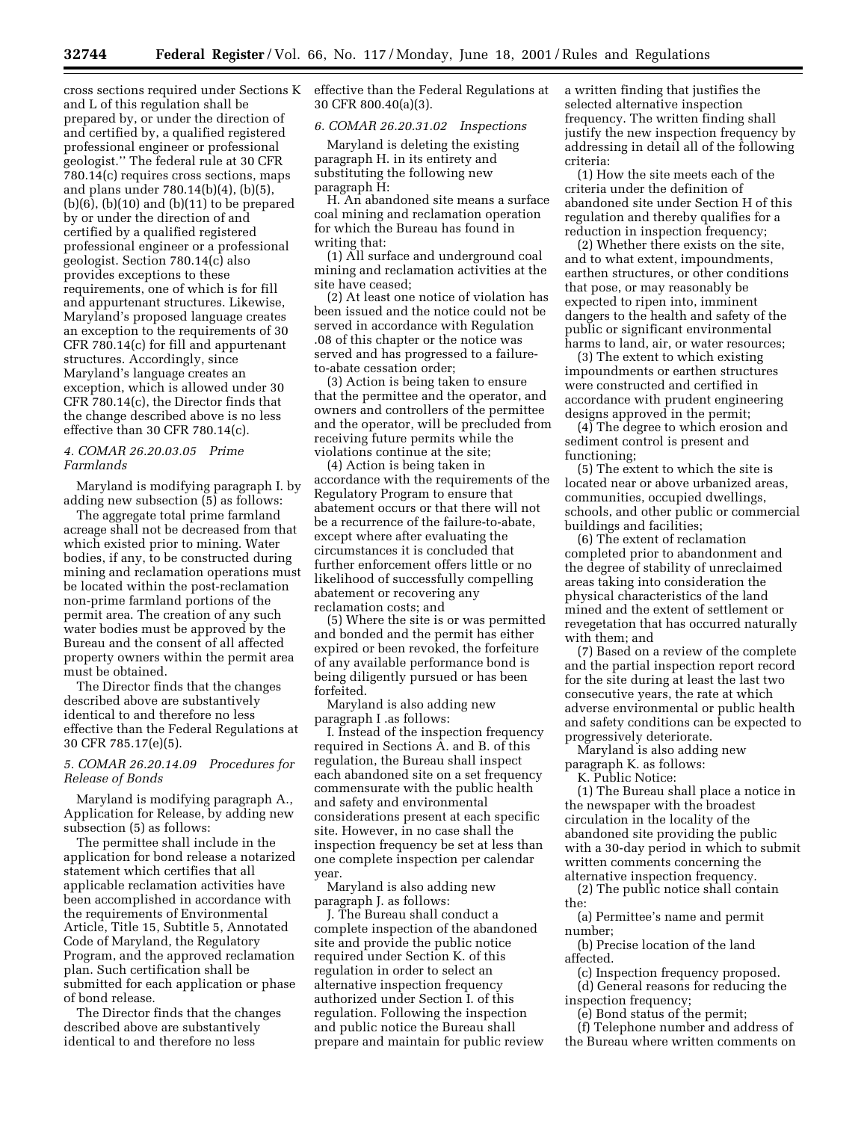and L of this regulation shall be prepared by, or under the direction of and certified by, a qualified registered professional engineer or professional geologist.'' The federal rule at 30 CFR 780.14(c) requires cross sections, maps and plans under 780.14(b)(4), (b)(5),  $(b)(6)$ ,  $(b)(10)$  and  $(b)(11)$  to be prepared by or under the direction of and certified by a qualified registered professional engineer or a professional geologist. Section 780.14(c) also provides exceptions to these requirements, one of which is for fill and appurtenant structures. Likewise, Maryland's proposed language creates an exception to the requirements of 30 CFR 780.14(c) for fill and appurtenant structures. Accordingly, since Maryland's language creates an exception, which is allowed under 30 CFR 780.14(c), the Director finds that the change described above is no less effective than 30 CFR 780.14(c).

# *4. COMAR 26.20.03.05 Prime Farmlands*

Maryland is modifying paragraph I. by adding new subsection (5) as follows:

The aggregate total prime farmland acreage shall not be decreased from that which existed prior to mining. Water bodies, if any, to be constructed during mining and reclamation operations must be located within the post-reclamation non-prime farmland portions of the permit area. The creation of any such water bodies must be approved by the Bureau and the consent of all affected property owners within the permit area must be obtained.

The Director finds that the changes described above are substantively identical to and therefore no less effective than the Federal Regulations at 30 CFR 785.17(e)(5).

## *5. COMAR 26.20.14.09 Procedures for Release of Bonds*

Maryland is modifying paragraph A., Application for Release, by adding new subsection (5) as follows:

The permittee shall include in the application for bond release a notarized statement which certifies that all applicable reclamation activities have been accomplished in accordance with the requirements of Environmental Article, Title 15, Subtitle 5, Annotated Code of Maryland, the Regulatory Program, and the approved reclamation plan. Such certification shall be submitted for each application or phase of bond release.

The Director finds that the changes described above are substantively identical to and therefore no less

cross sections required under Sections K effective than the Federal Regulations at 30 CFR 800.40(a)(3).

### *6. COMAR 26.20.31.02 Inspections*

Maryland is deleting the existing paragraph H. in its entirety and substituting the following new paragraph H:

H. An abandoned site means a surface coal mining and reclamation operation for which the Bureau has found in writing that:

(1) All surface and underground coal mining and reclamation activities at the site have ceased;

(2) At least one notice of violation has been issued and the notice could not be served in accordance with Regulation .08 of this chapter or the notice was served and has progressed to a failureto-abate cessation order;

(3) Action is being taken to ensure that the permittee and the operator, and owners and controllers of the permittee and the operator, will be precluded from receiving future permits while the violations continue at the site;

(4) Action is being taken in accordance with the requirements of the Regulatory Program to ensure that abatement occurs or that there will not be a recurrence of the failure-to-abate, except where after evaluating the circumstances it is concluded that further enforcement offers little or no likelihood of successfully compelling abatement or recovering any reclamation costs; and

(5) Where the site is or was permitted and bonded and the permit has either expired or been revoked, the forfeiture of any available performance bond is being diligently pursued or has been forfeited.

Maryland is also adding new paragraph I .as follows:

I. Instead of the inspection frequency required in Sections A. and B. of this regulation, the Bureau shall inspect each abandoned site on a set frequency commensurate with the public health and safety and environmental considerations present at each specific site. However, in no case shall the inspection frequency be set at less than one complete inspection per calendar year.

Maryland is also adding new paragraph J. as follows:

J. The Bureau shall conduct a complete inspection of the abandoned site and provide the public notice required under Section K. of this regulation in order to select an alternative inspection frequency authorized under Section I. of this regulation. Following the inspection and public notice the Bureau shall prepare and maintain for public review a written finding that justifies the selected alternative inspection frequency. The written finding shall justify the new inspection frequency by addressing in detail all of the following criteria:

(1) How the site meets each of the criteria under the definition of abandoned site under Section H of this regulation and thereby qualifies for a reduction in inspection frequency;

(2) Whether there exists on the site, and to what extent, impoundments, earthen structures, or other conditions that pose, or may reasonably be expected to ripen into, imminent dangers to the health and safety of the public or significant environmental harms to land, air, or water resources;

(3) The extent to which existing impoundments or earthen structures were constructed and certified in accordance with prudent engineering designs approved in the permit;

(4) The degree to which erosion and sediment control is present and functioning;

(5) The extent to which the site is located near or above urbanized areas, communities, occupied dwellings, schools, and other public or commercial buildings and facilities;

(6) The extent of reclamation completed prior to abandonment and the degree of stability of unreclaimed areas taking into consideration the physical characteristics of the land mined and the extent of settlement or revegetation that has occurred naturally with them; and

(7) Based on a review of the complete and the partial inspection report record for the site during at least the last two consecutive years, the rate at which adverse environmental or public health and safety conditions can be expected to progressively deteriorate.

Maryland is also adding new paragraph K. as follows:

K. Public Notice:

(1) The Bureau shall place a notice in the newspaper with the broadest circulation in the locality of the abandoned site providing the public with a 30-day period in which to submit written comments concerning the alternative inspection frequency.

(2) The public notice shall contain the:

(a) Permittee's name and permit number;

(b) Precise location of the land affected.

(c) Inspection frequency proposed. (d) General reasons for reducing the

inspection frequency;

(e) Bond status of the permit;

(f) Telephone number and address of the Bureau where written comments on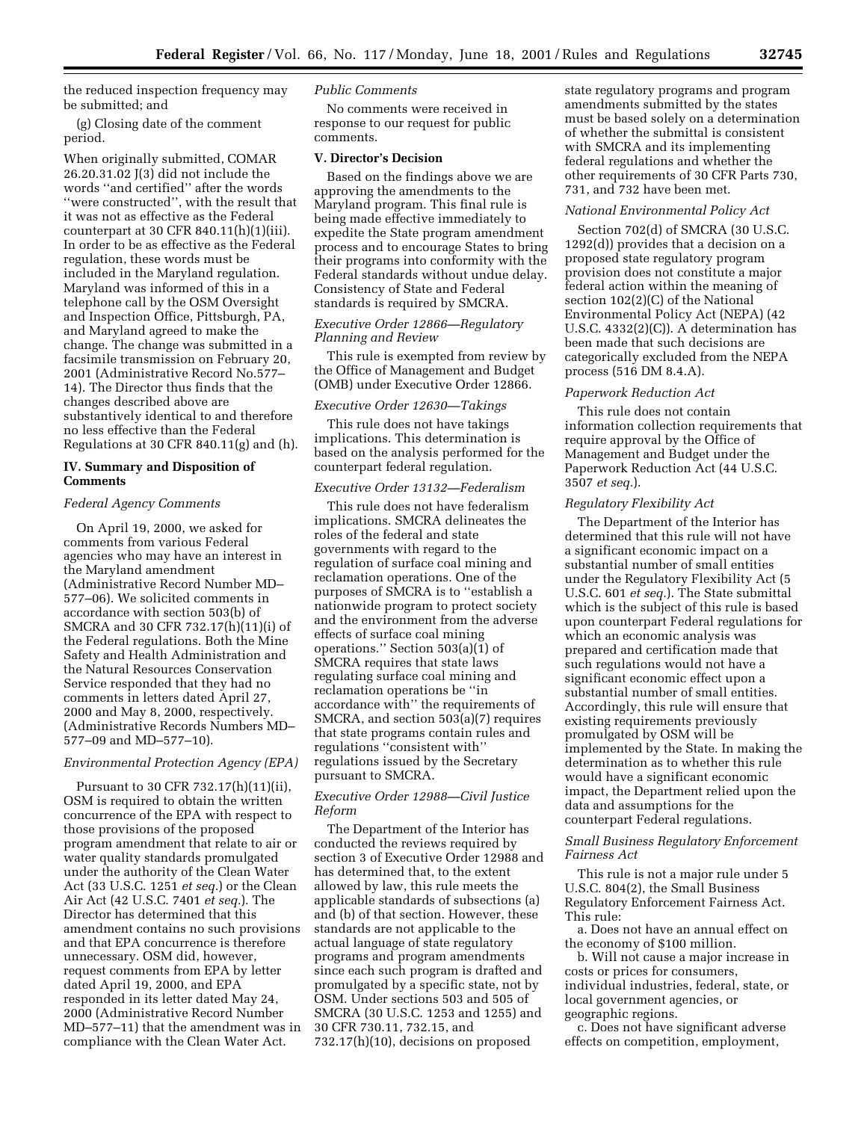the reduced inspection frequency may be submitted; and

(g) Closing date of the comment period.

When originally submitted, COMAR 26.20.31.02 J(3) did not include the words ''and certified'' after the words ''were constructed'', with the result that it was not as effective as the Federal counterpart at 30 CFR 840.11(h)(1)(iii). In order to be as effective as the Federal regulation, these words must be included in the Maryland regulation. Maryland was informed of this in a telephone call by the OSM Oversight and Inspection Office, Pittsburgh, PA, and Maryland agreed to make the change. The change was submitted in a facsimile transmission on February 20, 2001 (Administrative Record No.577– 14). The Director thus finds that the changes described above are substantively identical to and therefore no less effective than the Federal Regulations at 30 CFR 840.11(g) and (h).

# **IV. Summary and Disposition of Comments**

## *Federal Agency Comments*

On April 19, 2000, we asked for comments from various Federal agencies who may have an interest in the Maryland amendment (Administrative Record Number MD– 577–06). We solicited comments in accordance with section 503(b) of SMCRA and 30 CFR 732.17(h)(11)(i) of the Federal regulations. Both the Mine Safety and Health Administration and the Natural Resources Conservation Service responded that they had no comments in letters dated April 27, 2000 and May 8, 2000, respectively. (Administrative Records Numbers MD– 577–09 and MD–577–10).

### *Environmental Protection Agency (EPA)*

Pursuant to 30 CFR 732.17(h)(11)(ii), OSM is required to obtain the written concurrence of the EPA with respect to those provisions of the proposed program amendment that relate to air or water quality standards promulgated under the authority of the Clean Water Act (33 U.S.C. 1251 *et seq.*) or the Clean Air Act (42 U.S.C. 7401 *et seq.*). The Director has determined that this amendment contains no such provisions and that EPA concurrence is therefore unnecessary. OSM did, however, request comments from EPA by letter dated April 19, 2000, and EPA responded in its letter dated May 24, 2000 (Administrative Record Number MD–577–11) that the amendment was in compliance with the Clean Water Act.

### *Public Comments*

No comments were received in response to our request for public comments.

### **V. Director's Decision**

Based on the findings above we are approving the amendments to the Maryland program. This final rule is being made effective immediately to expedite the State program amendment process and to encourage States to bring their programs into conformity with the Federal standards without undue delay. Consistency of State and Federal standards is required by SMCRA.

# *Executive Order 12866—Regulatory Planning and Review*

This rule is exempted from review by the Office of Management and Budget (OMB) under Executive Order 12866.

#### *Executive Order 12630—Takings*

This rule does not have takings implications. This determination is based on the analysis performed for the counterpart federal regulation.

### *Executive Order 13132—Federalism*

This rule does not have federalism implications. SMCRA delineates the roles of the federal and state governments with regard to the regulation of surface coal mining and reclamation operations. One of the purposes of SMCRA is to ''establish a nationwide program to protect society and the environment from the adverse effects of surface coal mining operations.'' Section 503(a)(1) of SMCRA requires that state laws regulating surface coal mining and reclamation operations be ''in accordance with'' the requirements of SMCRA, and section 503(a)(7) requires that state programs contain rules and regulations ''consistent with'' regulations issued by the Secretary pursuant to SMCRA.

# *Executive Order 12988—Civil Justice Reform*

The Department of the Interior has conducted the reviews required by section 3 of Executive Order 12988 and has determined that, to the extent allowed by law, this rule meets the applicable standards of subsections (a) and (b) of that section. However, these standards are not applicable to the actual language of state regulatory programs and program amendments since each such program is drafted and promulgated by a specific state, not by OSM. Under sections 503 and 505 of SMCRA (30 U.S.C. 1253 and 1255) and 30 CFR 730.11, 732.15, and 732.17(h)(10), decisions on proposed

state regulatory programs and program amendments submitted by the states must be based solely on a determination of whether the submittal is consistent with SMCRA and its implementing federal regulations and whether the other requirements of 30 CFR Parts 730, 731, and 732 have been met.

#### *National Environmental Policy Act*

Section 702(d) of SMCRA (30 U.S.C. 1292(d)) provides that a decision on a proposed state regulatory program provision does not constitute a major federal action within the meaning of section 102(2)(C) of the National Environmental Policy Act (NEPA) (42 U.S.C. 4332(2)(C)). A determination has been made that such decisions are categorically excluded from the NEPA process (516 DM 8.4.A).

# *Paperwork Reduction Act*

This rule does not contain information collection requirements that require approval by the Office of Management and Budget under the Paperwork Reduction Act (44 U.S.C. 3507 *et seq.*).

### *Regulatory Flexibility Act*

The Department of the Interior has determined that this rule will not have a significant economic impact on a substantial number of small entities under the Regulatory Flexibility Act (5 U.S.C. 601 *et seq.*). The State submittal which is the subject of this rule is based upon counterpart Federal regulations for which an economic analysis was prepared and certification made that such regulations would not have a significant economic effect upon a substantial number of small entities. Accordingly, this rule will ensure that existing requirements previously promulgated by OSM will be implemented by the State. In making the determination as to whether this rule would have a significant economic impact, the Department relied upon the data and assumptions for the counterpart Federal regulations.

# *Small Business Regulatory Enforcement Fairness Act*

This rule is not a major rule under 5 U.S.C. 804(2), the Small Business Regulatory Enforcement Fairness Act. This rule:

a. Does not have an annual effect on the economy of \$100 million.

b. Will not cause a major increase in costs or prices for consumers, individual industries, federal, state, or local government agencies, or geographic regions.

c. Does not have significant adverse effects on competition, employment,